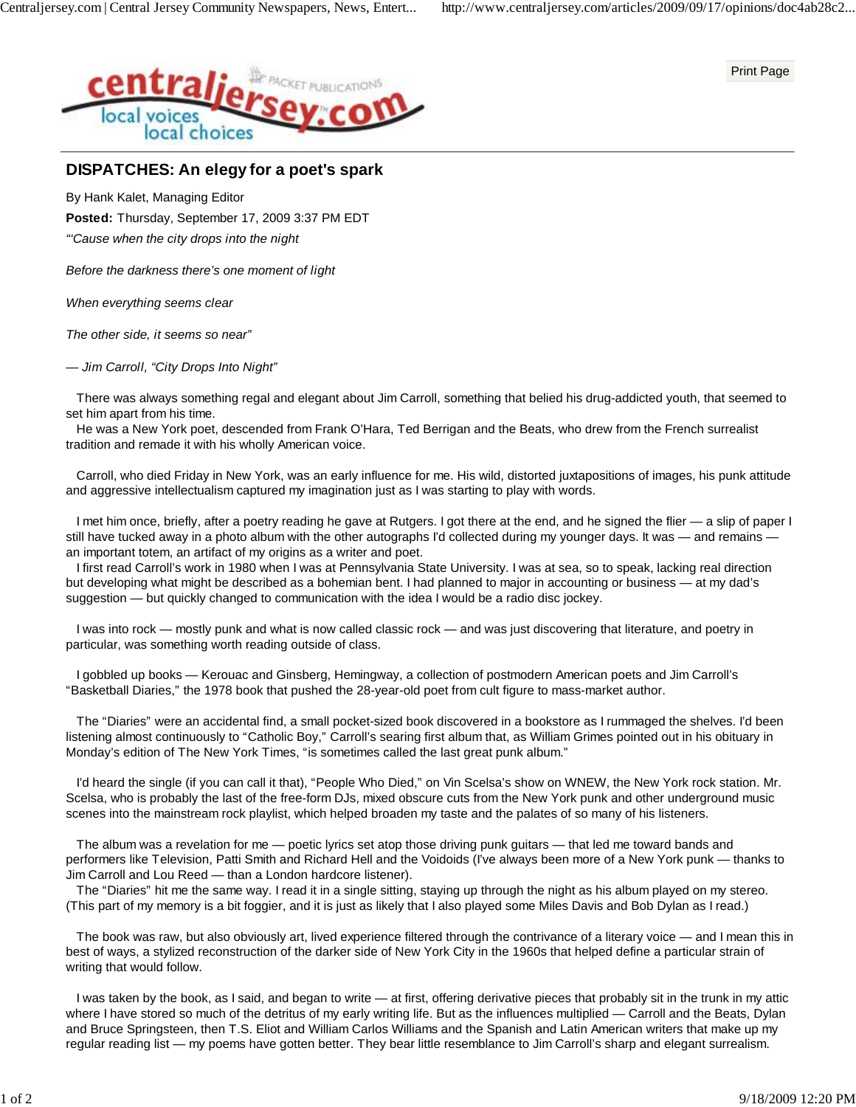Print Page



## **DISPATCHES: An elegy for a poet's spark**

By Hank Kalet, Managing Editor

**Posted:** Thursday, September 17, 2009 3:37 PM EDT

*"'Cause when the city drops into the night*

*Before the darkness there's one moment of light*

*When everything seems clear*

*The other side, it seems so near"*

*— Jim Carroll, "City Drops Into Night"*

 There was always something regal and elegant about Jim Carroll, something that belied his drug-addicted youth, that seemed to set him apart from his time.

 He was a New York poet, descended from Frank O'Hara, Ted Berrigan and the Beats, who drew from the French surrealist tradition and remade it with his wholly American voice.

 Carroll, who died Friday in New York, was an early influence for me. His wild, distorted juxtapositions of images, his punk attitude and aggressive intellectualism captured my imagination just as I was starting to play with words.

 I met him once, briefly, after a poetry reading he gave at Rutgers. I got there at the end, and he signed the flier — a slip of paper I still have tucked away in a photo album with the other autographs I'd collected during my younger days. It was — and remains an important totem, an artifact of my origins as a writer and poet.

 I first read Carroll's work in 1980 when I was at Pennsylvania State University. I was at sea, so to speak, lacking real direction but developing what might be described as a bohemian bent. I had planned to major in accounting or business — at my dad's suggestion — but quickly changed to communication with the idea I would be a radio disc jockey.

 I was into rock — mostly punk and what is now called classic rock — and was just discovering that literature, and poetry in particular, was something worth reading outside of class.

 I gobbled up books — Kerouac and Ginsberg, Hemingway, a collection of postmodern American poets and Jim Carroll's "Basketball Diaries," the 1978 book that pushed the 28-year-old poet from cult figure to mass-market author.

 The "Diaries" were an accidental find, a small pocket-sized book discovered in a bookstore as I rummaged the shelves. I'd been listening almost continuously to "Catholic Boy," Carroll's searing first album that, as William Grimes pointed out in his obituary in Monday's edition of The New York Times, "is sometimes called the last great punk album."

 I'd heard the single (if you can call it that), "People Who Died," on Vin Scelsa's show on WNEW, the New York rock station. Mr. Scelsa, who is probably the last of the free-form DJs, mixed obscure cuts from the New York punk and other underground music scenes into the mainstream rock playlist, which helped broaden my taste and the palates of so many of his listeners.

The album was a revelation for me — poetic lyrics set atop those driving punk guitars — that led me toward bands and performers like Television, Patti Smith and Richard Hell and the Voidoids (I've always been more of a New York punk — thanks to Jim Carroll and Lou Reed — than a London hardcore listener).

 The "Diaries" hit me the same way. I read it in a single sitting, staying up through the night as his album played on my stereo. (This part of my memory is a bit foggier, and it is just as likely that I also played some Miles Davis and Bob Dylan as I read.)

 The book was raw, but also obviously art, lived experience filtered through the contrivance of a literary voice — and I mean this in best of ways, a stylized reconstruction of the darker side of New York City in the 1960s that helped define a particular strain of writing that would follow.

I was taken by the book, as I said, and began to write — at first, offering derivative pieces that probably sit in the trunk in my attic where I have stored so much of the detritus of my early writing life. But as the influences multiplied — Carroll and the Beats, Dylan and Bruce Springsteen, then T.S. Eliot and William Carlos Williams and the Spanish and Latin American writers that make up my regular reading list — my poems have gotten better. They bear little resemblance to Jim Carroll's sharp and elegant surrealism.